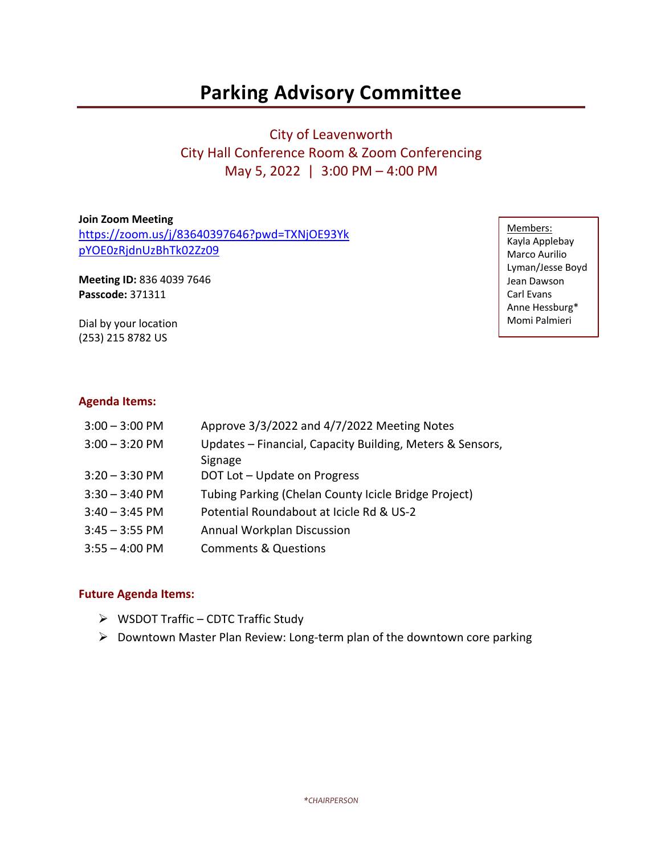# **Parking Advisory Committee**

City of Leavenworth City Hall Conference Room & Zoom Conferencing May 5, 2022 | 3:00 PM – 4:00 PM

**Join Zoom Meeting** https://zoom.us/j/83640397646?pwd=TXNjOE93Yk pYOE0zRjdnUzBhTk02Zz09

**Meeting ID:** 836 4039 7646 **Passcode:** 371311

Dial by your location (253) 215 8782 US

Members: Kayla Applebay Marco Aurilio Lyman/Jesse Boyd Jean Dawson Carl Evans Anne Hessburg\* Momi Palmieri

### **Agenda Items:**

| Approve 3/3/2022 and 4/7/2022 Meeting Notes               |
|-----------------------------------------------------------|
| Updates - Financial, Capacity Building, Meters & Sensors, |
| Signage                                                   |
| DOT Lot - Update on Progress                              |
| Tubing Parking (Chelan County Icicle Bridge Project)      |
| Potential Roundabout at Icicle Rd & US-2                  |
| Annual Workplan Discussion                                |
| <b>Comments &amp; Questions</b>                           |
|                                                           |

### **Future Agenda Items:**

- $\triangleright$  WSDOT Traffic CDTC Traffic Study
- $\triangleright$  Downtown Master Plan Review: Long-term plan of the downtown core parking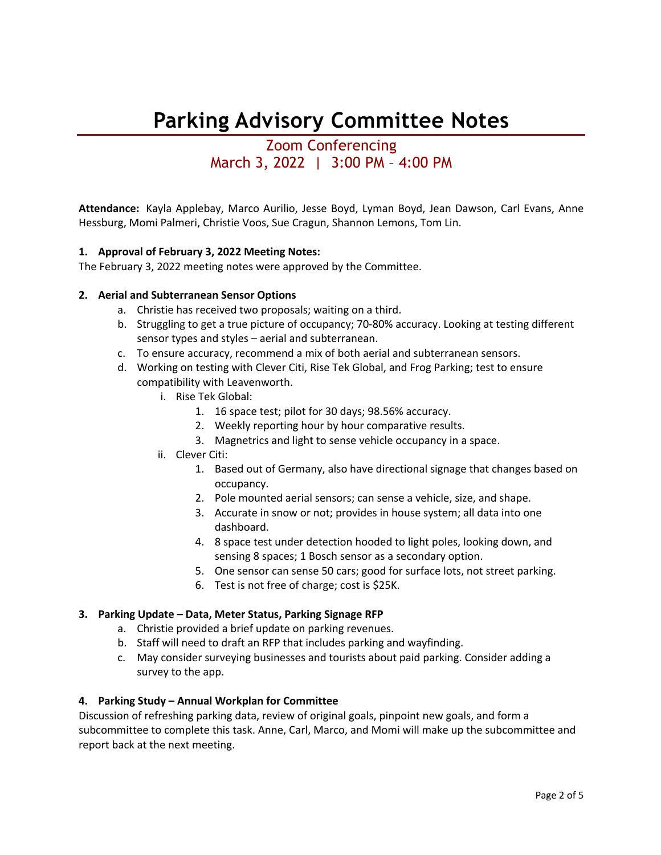# **Parking Advisory Committee Notes**

Zoom Conferencing March 3, 2022 | 3:00 PM – 4:00 PM

**Attendance:** Kayla Applebay, Marco Aurilio, Jesse Boyd, Lyman Boyd, Jean Dawson, Carl Evans, Anne Hessburg, Momi Palmeri, Christie Voos, Sue Cragun, Shannon Lemons, Tom Lin.

#### **1. Approval of February 3, 2022 Meeting Notes:**

The February 3, 2022 meeting notes were approved by the Committee.

#### **2. Aerial and Subterranean Sensor Options**

- a. Christie has received two proposals; waiting on a third.
- b. Struggling to get a true picture of occupancy; 70-80% accuracy. Looking at testing different sensor types and styles – aerial and subterranean.
- c. To ensure accuracy, recommend a mix of both aerial and subterranean sensors.
- d. Working on testing with Clever Citi, Rise Tek Global, and Frog Parking; test to ensure compatibility with Leavenworth.
	- i. Rise Tek Global:
		- 1. 16 space test; pilot for 30 days; 98.56% accuracy.
		- 2. Weekly reporting hour by hour comparative results.
		- 3. Magnetrics and light to sense vehicle occupancy in a space.
	- ii. Clever Citi:
		- 1. Based out of Germany, also have directional signage that changes based on occupancy.
		- 2. Pole mounted aerial sensors; can sense a vehicle, size, and shape.
		- 3. Accurate in snow or not; provides in house system; all data into one dashboard.
		- 4. 8 space test under detection hooded to light poles, looking down, and sensing 8 spaces; 1 Bosch sensor as a secondary option.
		- 5. One sensor can sense 50 cars; good for surface lots, not street parking.
		- 6. Test is not free of charge; cost is \$25K.

#### **3. Parking Update – Data, Meter Status, Parking Signage RFP**

- a. Christie provided a brief update on parking revenues.
- b. Staff will need to draft an RFP that includes parking and wayfinding.
- c. May consider surveying businesses and tourists about paid parking. Consider adding a survey to the app.

#### **4. Parking Study – Annual Workplan for Committee**

Discussion of refreshing parking data, review of original goals, pinpoint new goals, and form a subcommittee to complete this task. Anne, Carl, Marco, and Momi will make up the subcommittee and report back at the next meeting.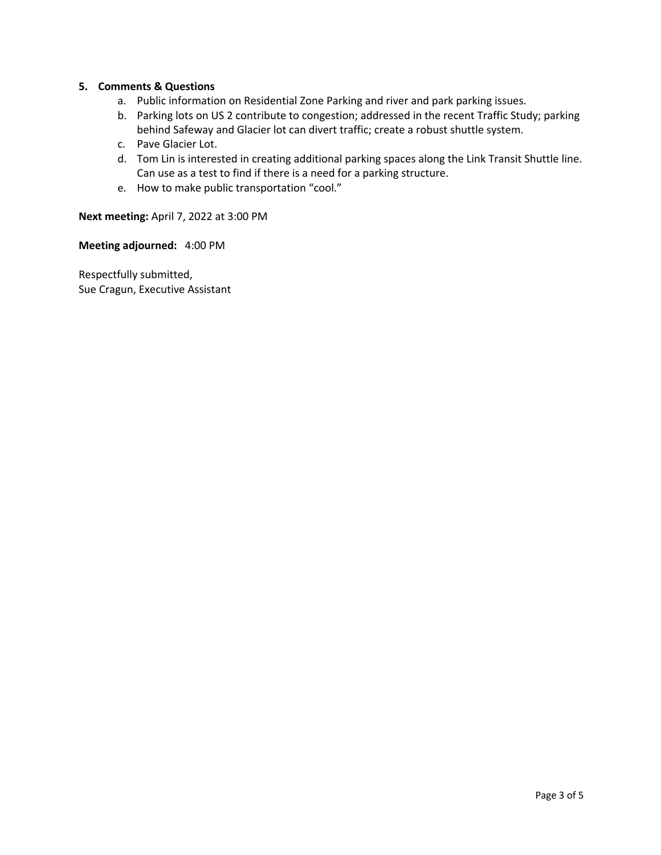#### **5. Comments & Questions**

- a. Public information on Residential Zone Parking and river and park parking issues.
- b. Parking lots on US 2 contribute to congestion; addressed in the recent Traffic Study; parking behind Safeway and Glacier lot can divert traffic; create a robust shuttle system.
- c. Pave Glacier Lot.
- d. Tom Lin is interested in creating additional parking spaces along the Link Transit Shuttle line. Can use as a test to find if there is a need for a parking structure.
- e. How to make public transportation "cool."

**Next meeting:** April 7, 2022 at 3:00 PM

**Meeting adjourned:** 4:00 PM

Respectfully submitted, Sue Cragun, Executive Assistant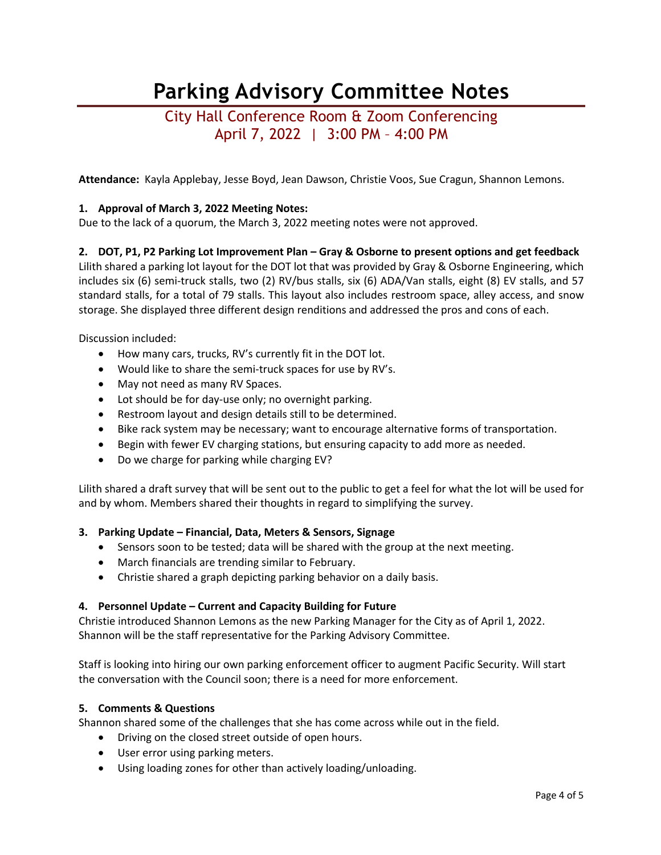# **Parking Advisory Committee Notes**

## City Hall Conference Room & Zoom Conferencing April 7, 2022 | 3:00 PM – 4:00 PM

**Attendance:** Kayla Applebay, Jesse Boyd, Jean Dawson, Christie Voos, Sue Cragun, Shannon Lemons.

#### **1. Approval of March 3, 2022 Meeting Notes:**

Due to the lack of a quorum, the March 3, 2022 meeting notes were not approved.

### **2. DOT, P1, P2 Parking Lot Improvement Plan – Gray & Osborne to present options and get feedback**

Lilith shared a parking lot layout for the DOT lot that was provided by Gray & Osborne Engineering, which includes six (6) semi-truck stalls, two (2) RV/bus stalls, six (6) ADA/Van stalls, eight (8) EV stalls, and 57 standard stalls, for a total of 79 stalls. This layout also includes restroom space, alley access, and snow storage. She displayed three different design renditions and addressed the pros and cons of each.

Discussion included:

- How many cars, trucks, RV's currently fit in the DOT lot.
- Would like to share the semi-truck spaces for use by RV's.
- May not need as many RV Spaces.
- Lot should be for day-use only; no overnight parking.
- Restroom layout and design details still to be determined.
- Bike rack system may be necessary; want to encourage alternative forms of transportation.
- Begin with fewer EV charging stations, but ensuring capacity to add more as needed.
- Do we charge for parking while charging EV?

Lilith shared a draft survey that will be sent out to the public to get a feel for what the lot will be used for and by whom. Members shared their thoughts in regard to simplifying the survey.

#### **3. Parking Update – Financial, Data, Meters & Sensors, Signage**

- Sensors soon to be tested; data will be shared with the group at the next meeting.
- March financials are trending similar to February.
- Christie shared a graph depicting parking behavior on a daily basis.

#### **4. Personnel Update – Current and Capacity Building for Future**

Christie introduced Shannon Lemons as the new Parking Manager for the City as of April 1, 2022. Shannon will be the staff representative for the Parking Advisory Committee.

Staff is looking into hiring our own parking enforcement officer to augment Pacific Security. Will start the conversation with the Council soon; there is a need for more enforcement.

#### **5. Comments & Questions**

Shannon shared some of the challenges that she has come across while out in the field.

- Driving on the closed street outside of open hours.
- User error using parking meters.
- Using loading zones for other than actively loading/unloading.